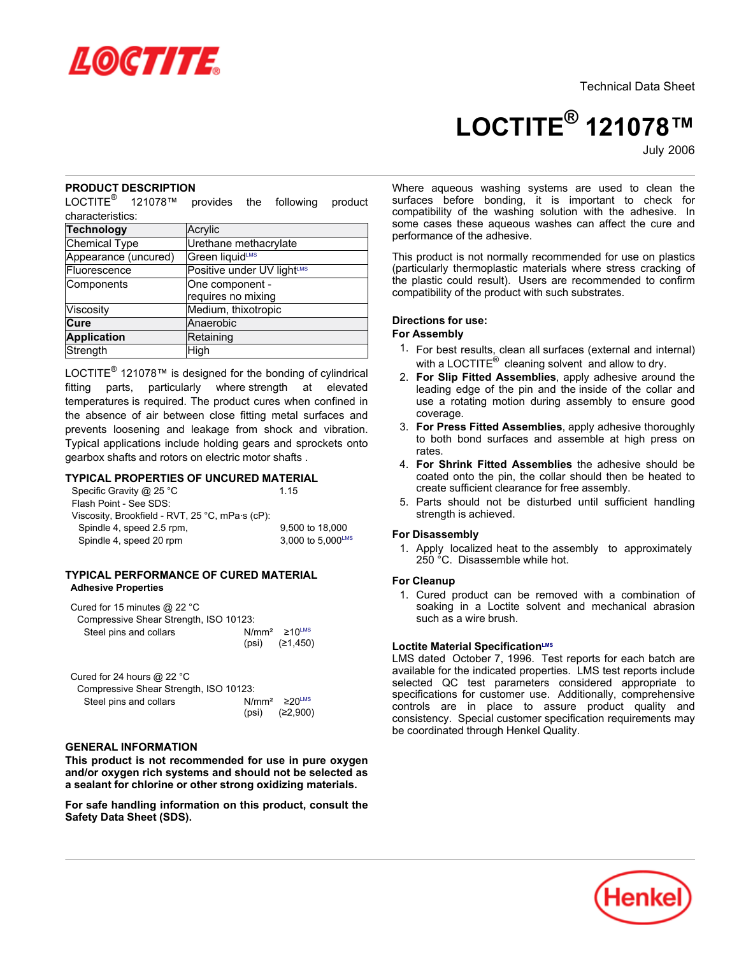

# **LOCTITE® 121078™**

July-2006

## **PRODUCT DESCRIPTION**

LOCTITE® 121078™ provides the following product characteristics:

| <b>Technology</b>    | Acrylic                    |
|----------------------|----------------------------|
| Chemical Type        | Urethane methacrylate      |
| Appearance (uncured) | Green liquidLMS            |
| Fluorescence         | Positive under UV lightLMS |
| Components           | One component -            |
|                      | requires no mixing         |
| Viscosity            | Medium, thixotropic        |
| Cure                 | Anaerobic                  |
| <b>Application</b>   | Retaining                  |
| Strength             | High                       |

LOCTITE<sup>®</sup> 121078™ is designed for the bonding of cylindrical fitting parts, particularly where strength at elevated temperatures is required. The product cures when confined in the absence of air between close fitting metal surfaces and prevents loosening and leakage from shock and vibration. Typical applications include holding gears and sprockets onto gearbox shafts and rotors on electric motor shafts .

# **TYPICAL PROPERTIES OF UNCURED MATERIAL**

| Specific Gravity @ 25 °C                        | 1 15              |
|-------------------------------------------------|-------------------|
| Flash Point - See SDS:                          |                   |
| Viscosity, Brookfield - RVT, 25 °C, mPa·s (cP): |                   |
| Spindle 4, speed 2.5 rpm,                       | 9.500 to 18,000   |
| Spindle 4, speed 20 rpm                         | 3.000 to 5.000LMS |
|                                                 |                   |

### **TYPICAL PERFORMANCE OF CURED MATERIAL Adhesive Properties**

| Cured for 15 minutes $@$ 22 °C         |                                                    |  |
|----------------------------------------|----------------------------------------------------|--|
| Compressive Shear Strength, ISO 10123: |                                                    |  |
| Steel pins and collars                 | $N/mm^2 \ge 10$ <sup>LMS</sup><br>(psi) $(21.450)$ |  |

| Cured for 24 hours $@$ 22 °C           |       |                                 |  |  |  |
|----------------------------------------|-------|---------------------------------|--|--|--|
| Compressive Shear Strength, ISO 10123: |       |                                 |  |  |  |
| Steel pins and collars                 |       | $N/mm^2 \geq 20$ <sup>LMS</sup> |  |  |  |
|                                        | (psi) | (≥2.900)                        |  |  |  |

## **GENERAL INFORMATION**

**This product is not recommended for use in pure oxygen and/or oxygen rich systems and should not be selected as a sealant for chlorine or other strong oxidizing materials.**

**For safe handling information on this product, consult the Safety Data Sheet (SDS).**

Where aqueous washing systems are used to clean the surfaces before bonding, it is important to check for compatibility of the washing solution with the adhesive. In some cases these aqueous washes can affect the cure and performance of the adhesive.

This product is not normally recommended for use on plastics (particularly thermoplastic materials where stress cracking of the plastic could result). Users are recommended to confirm compatibility of the product with such substrates.

#### **Directions for use:**

## **For Assembly**

- 1. For best results, clean all surfaces (external and internal) with a LOCTITE $^{\circledR}$  cleaning solvent and allow to dry.
- 2. **For Slip Fitted Assemblies**, apply adhesive around the leading edge of the pin and the inside of the collar and use a rotating motion during assembly to ensure good coverage.
- 3. **For Press Fitted Assemblies**, apply adhesive thoroughly to both bond surfaces and assemble at high press on rates.
- 4. **For Shrink Fitted Assemblies** the adhesive should be coated onto the pin, the collar should then be heated to create sufficient clearance for free assembly.
- 5. Parts should not be disturbed until sufficient handling strength is achieved.

#### **For Disassembly**

1. Apply localized heat to the assembly to approximately 250 °C. Disassemble while hot.

#### **For Cleanup**

1. Cured product can be removed with a combination of soaking in a Loctite solvent and mechanical abrasion such as a wire brush.

#### **Loctite Material SpecificationLMS**

LMS dated October 7, 1996. Test reports for each batch are available for the indicated properties. LMS test reports include selected QC test parameters considered appropriate to specifications for customer use. Additionally, comprehensive controls are in place to assure product quality and consistency. Special customer specification requirements may be coordinated through Henkel Quality.